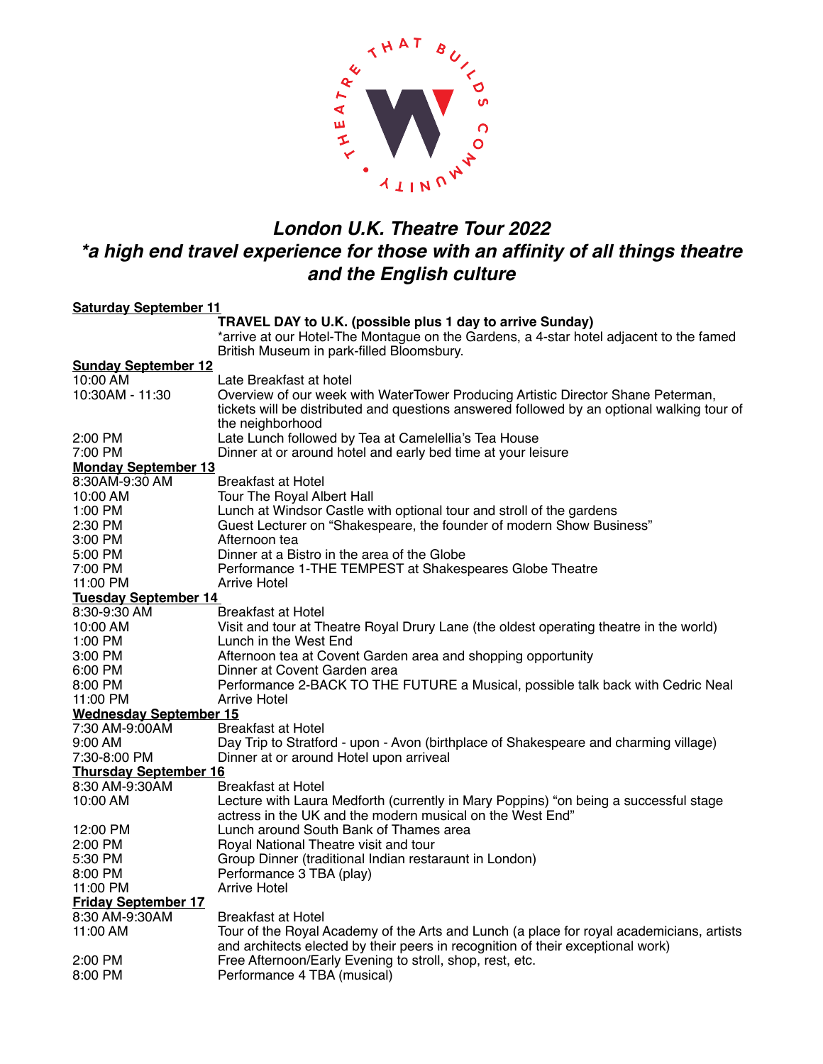

## *London U.K. Theatre Tour 2022 \*a high end travel experience for those with an affinity of all things theatre and the English culture*

| <b>Saturday September 11</b>  |                                                                                            |
|-------------------------------|--------------------------------------------------------------------------------------------|
|                               | TRAVEL DAY to U.K. (possible plus 1 day to arrive Sunday)                                  |
|                               | *arrive at our Hotel-The Montague on the Gardens, a 4-star hotel adjacent to the famed     |
|                               | British Museum in park-filled Bloomsbury.                                                  |
| <b>Sunday September 12</b>    |                                                                                            |
| 10:00 AM                      | Late Breakfast at hotel                                                                    |
| 10:30AM - 11:30               | Overview of our week with WaterTower Producing Artistic Director Shane Peterman,           |
|                               | tickets will be distributed and questions answered followed by an optional walking tour of |
|                               | the neighborhood                                                                           |
| 2:00 PM                       | Late Lunch followed by Tea at Camelellia's Tea House                                       |
| 7:00 PM                       | Dinner at or around hotel and early bed time at your leisure                               |
| <b>Monday September 13</b>    |                                                                                            |
| 8:30AM-9:30 AM                | Breakfast at Hotel                                                                         |
| 10:00 AM                      | Tour The Royal Albert Hall                                                                 |
| 1:00 PM                       | Lunch at Windsor Castle with optional tour and stroll of the gardens                       |
| 2:30 PM                       | Guest Lecturer on "Shakespeare, the founder of modern Show Business"                       |
| 3:00 PM                       | Afternoon tea                                                                              |
| 5:00 PM                       | Dinner at a Bistro in the area of the Globe                                                |
| 7:00 PM                       | Performance 1-THE TEMPEST at Shakespeares Globe Theatre                                    |
| 11:00 PM                      | Arrive Hotel                                                                               |
| Tuesday September 14          |                                                                                            |
| 8:30-9:30 AM                  | Breakfast at Hotel                                                                         |
| 10:00 AM                      | Visit and tour at Theatre Royal Drury Lane (the oldest operating theatre in the world)     |
| 1:00 PM                       | Lunch in the West End                                                                      |
| 3:00 PM                       | Afternoon tea at Covent Garden area and shopping opportunity                               |
| 6:00 PM                       | Dinner at Covent Garden area                                                               |
| 8:00 PM                       | Performance 2-BACK TO THE FUTURE a Musical, possible talk back with Cedric Neal            |
| 11:00 PM                      | Arrive Hotel                                                                               |
| <b>Wednesday September 15</b> |                                                                                            |
| 7:30 AM-9:00AM                | Breakfast at Hotel                                                                         |
| 9:00 AM                       | Day Trip to Stratford - upon - Avon (birthplace of Shakespeare and charming village)       |
| 7:30-8:00 PM                  | Dinner at or around Hotel upon arriveal                                                    |
| <b>Thursday September 16</b>  |                                                                                            |
| 8:30 AM-9:30AM                | Breakfast at Hotel                                                                         |
| 10:00 AM                      | Lecture with Laura Medforth (currently in Mary Poppins) "on being a successful stage       |
|                               | actress in the UK and the modern musical on the West End"                                  |
| 12:00 PM                      | Lunch around South Bank of Thames area                                                     |
| 2:00 PM                       | Royal National Theatre visit and tour                                                      |
| 5:30 PM                       | Group Dinner (traditional Indian restaraunt in London)                                     |
| 8:00 PM                       | Performance 3 TBA (play)                                                                   |
| 11:00 PM                      | Arrive Hotel                                                                               |
| <b>Friday September 17</b>    |                                                                                            |
| 8:30 AM-9:30AM                | Breakfast at Hotel                                                                         |
| 11:00 AM                      | Tour of the Royal Academy of the Arts and Lunch (a place for royal academicians, artists   |
|                               | and architects elected by their peers in recognition of their exceptional work)            |
| 2:00 PM                       | Free Afternoon/Early Evening to stroll, shop, rest, etc.                                   |
| 8:00 PM                       | Performance 4 TBA (musical)                                                                |
|                               |                                                                                            |